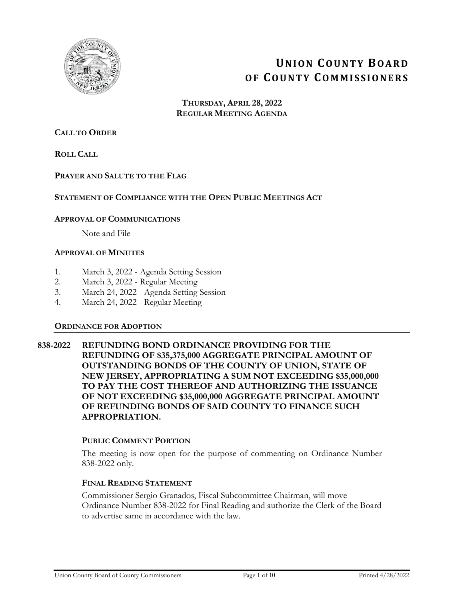

# **UNION COUNTY BOARD OF COUNTY COMMISSIONERS**

**THURSDAY, APRIL 28, 2022 REGULAR MEETING AGENDA**

# **CALL TO ORDER**

**ROLL CALL**

## **PRAYER AND SALUTE TO THE FLAG**

## **STATEMENT OF COMPLIANCE WITH THE OPEN PUBLIC MEETINGS ACT**

#### **APPROVAL OF COMMUNICATIONS**

Note and File

#### **APPROVAL OF MINUTES**

- 1. March 3, 2022 Agenda Setting Session
- 2. March 3, 2022 Regular Meeting
- 3. March 24, 2022 Agenda Setting Session
- 4. March 24, 2022 Regular Meeting

#### **ORDINANCE FOR ADOPTION**

**838-2022 REFUNDING BOND ORDINANCE PROVIDING FOR THE REFUNDING OF \$35,375,000 AGGREGATE PRINCIPAL AMOUNT OF OUTSTANDING BONDS OF THE COUNTY OF UNION, STATE OF NEW JERSEY, APPROPRIATING A SUM NOT EXCEEDING \$35,000,000 TO PAY THE COST THEREOF AND AUTHORIZING THE ISSUANCE OF NOT EXCEEDING \$35,000,000 AGGREGATE PRINCIPAL AMOUNT OF REFUNDING BONDS OF SAID COUNTY TO FINANCE SUCH APPROPRIATION.** 

#### **PUBLIC COMMENT PORTION**

The meeting is now open for the purpose of commenting on Ordinance Number 838-2022 only.

## **FINAL READING STATEMENT**

Commissioner Sergio Granados, Fiscal Subcommittee Chairman, will move Ordinance Number 838-2022 for Final Reading and authorize the Clerk of the Board to advertise same in accordance with the law.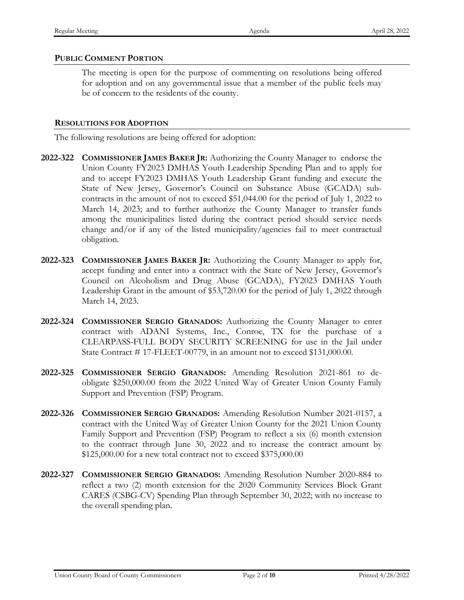# **PUBLIC COMMENT PORTION**

The meeting is open for the purpose of commenting on resolutions being offered for adoption and on any governmental issue that a member of the public feels may be of concern to the residents of the county.

#### **RESOLUTIONS FOR ADOPTION**

The following resolutions are being offered for adoption:

- **2022-322 COMMISSIONER JAMES BAKER JR:** Authorizing the County Manager to endorse the Union County FY2023 DMHAS Youth Leadership Spending Plan and to apply for and to accept FY2023 DMHAS Youth Leadership Grant funding and execute the State of New Jersey, Governor's Council on Substance Abuse (GCADA) subcontracts in the amount of not to exceed \$51,044.00 for the period of July 1, 2022 to March 14, 2023; and to further authorize the County Manager to transfer funds among the municipalities listed during the contract period should service needs change and/or if any of the listed municipality/agencies fail to meet contractual obligation.
- **2022-323 COMMISSIONER JAMES BAKER JR:** Authorizing the County Manager to apply for, accept funding and enter into a contract with the State of New Jersey, Governor's Council on Alcoholism and Drug Abuse (GCADA), FY2023 DMHAS Youth Leadership Grant in the amount of \$53,720.00 for the period of July 1, 2022 through March 14, 2023.
- **2022-324 COMMISSIONER SERGIO GRANADOS:** Authorizing the County Manager to enter contract with ADANI Systems, Inc., Conroe, TX for the purchase of a CLEARPASS-FULL BODY SECURITY SCREENING for use in the Jail under State Contract # 17-FLEET-00779, in an amount not to exceed \$131,000.00.
- **2022-325 COMMISSIONER SERGIO GRANADOS:** Amending Resolution 2021-861 to deobligate \$250,000.00 from the 2022 United Way of Greater Union County Family Support and Prevention (FSP) Program.
- **2022-326 COMMISSIONER SERGIO GRANADOS:** Amending Resolution Number 2021-0157, a contract with the United Way of Greater Union County for the 2021 Union County Family Support and Prevention (FSP) Program to reflect a six (6) month extension to the contract through June 30, 2022 and to increase the contract amount by \$125,000.00 for a new total contract not to exceed \$375,000.00
- **2022-327 COMMISSIONER SERGIO GRANADOS:** Amending Resolution Number 2020-884 to reflect a two (2) month extension for the 2020 Community Services Block Grant CARES (CSBG-CV) Spending Plan through September 30, 2022; with no increase to the overall spending plan.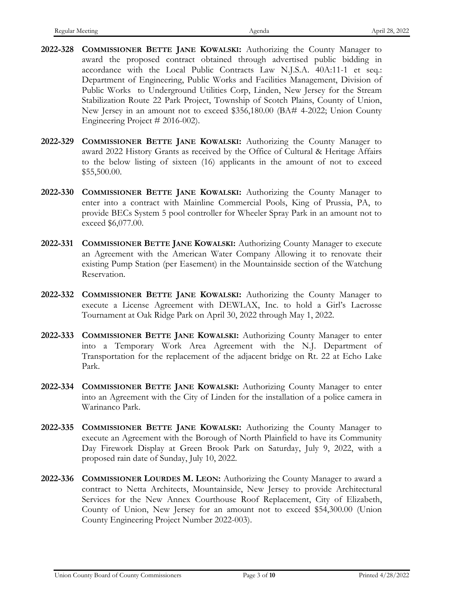- **2022-328 COMMISSIONER BETTE JANE KOWALSKI:** Authorizing the County Manager to award the proposed contract obtained through advertised public bidding in accordance with the Local Public Contracts Law N.J.S.A. 40A:11-1 et seq.: Department of Engineering, Public Works and Facilities Management, Division of Public Works to Underground Utilities Corp, Linden, New Jersey for the Stream Stabilization Route 22 Park Project, Township of Scotch Plains, County of Union, New Jersey in an amount not to exceed \$356,180.00 (BA# 4-2022; Union County Engineering Project # 2016-002).
- **2022-329 COMMISSIONER BETTE JANE KOWALSKI:** Authorizing the County Manager to award 2022 History Grants as received by the Office of Cultural & Heritage Affairs to the below listing of sixteen (16) applicants in the amount of not to exceed \$55,500.00.
- **2022-330 COMMISSIONER BETTE JANE KOWALSKI:** Authorizing the County Manager to enter into a contract with Mainline Commercial Pools, King of Prussia, PA, to provide BECs System 5 pool controller for Wheeler Spray Park in an amount not to exceed \$6,077.00.
- **2022-331 COMMISSIONER BETTE JANE KOWALSKI:** Authorizing County Manager to execute an Agreement with the American Water Company Allowing it to renovate their existing Pump Station (per Easement) in the Mountainside section of the Watchung Reservation.
- **2022-332 COMMISSIONER BETTE JANE KOWALSKI:** Authorizing the County Manager to execute a License Agreement with DEWLAX, Inc. to hold a Girl's Lacrosse Tournament at Oak Ridge Park on April 30, 2022 through May 1, 2022.
- **2022-333 COMMISSIONER BETTE JANE KOWALSKI:** Authorizing County Manager to enter into a Temporary Work Area Agreement with the N.J. Department of Transportation for the replacement of the adjacent bridge on Rt. 22 at Echo Lake Park.
- **2022-334 COMMISSIONER BETTE JANE KOWALSKI:** Authorizing County Manager to enter into an Agreement with the City of Linden for the installation of a police camera in Warinanco Park.
- **2022-335 COMMISSIONER BETTE JANE KOWALSKI:** Authorizing the County Manager to execute an Agreement with the Borough of North Plainfield to have its Community Day Firework Display at Green Brook Park on Saturday, July 9, 2022, with a proposed rain date of Sunday, July 10, 2022.
- **2022-336 COMMISSIONER LOURDES M. LEON:** Authorizing the County Manager to award a contract to Netta Architects, Mountainside, New Jersey to provide Architectural Services for the New Annex Courthouse Roof Replacement, City of Elizabeth, County of Union, New Jersey for an amount not to exceed \$54,300.00 (Union County Engineering Project Number 2022-003).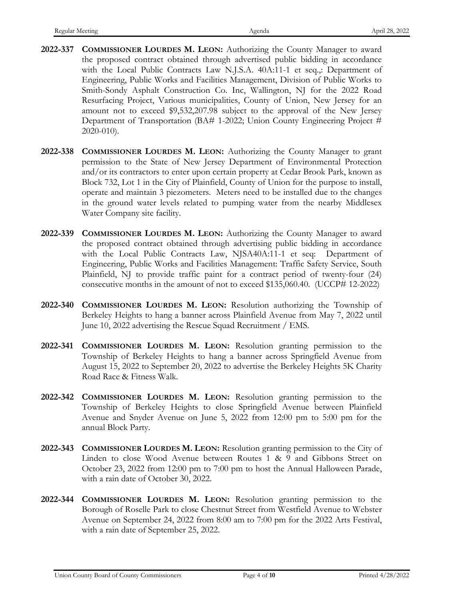- **2022-337 COMMISSIONER LOURDES M. LEON:** Authorizing the County Manager to award the proposed contract obtained through advertised public bidding in accordance with the Local Public Contracts Law N.J.S.A. 40A:11-1 et seq.,: Department of Engineering, Public Works and Facilities Management, Division of Public Works to Smith-Sondy Asphalt Construction Co. Inc, Wallington, NJ for the 2022 Road Resurfacing Project, Various municipalities, County of Union, New Jersey for an amount not to exceed \$9,532,207.98 subject to the approval of the New Jersey Department of Transportation (BA# 1-2022; Union County Engineering Project # 2020-010).
- **2022-338 COMMISSIONER LOURDES M. LEON:** Authorizing the County Manager to grant permission to the State of New Jersey Department of Environmental Protection and/or its contractors to enter upon certain property at Cedar Brook Park, known as Block 732, Lot 1 in the City of Plainfield, County of Union for the purpose to install, operate and maintain 3 piezometers. Meters need to be installed due to the changes in the ground water levels related to pumping water from the nearby Middlesex Water Company site facility.
- **2022-339 COMMISSIONER LOURDES M. LEON:** Authorizing the County Manager to award the proposed contract obtained through advertising public bidding in accordance with the Local Public Contracts Law, NJSA40A:11-1 et seq: Department of Engineering, Public Works and Facilities Management: Traffic Safety Service, South Plainfield, NJ to provide traffic paint for a contract period of twenty-four (24) consecutive months in the amount of not to exceed \$135,060.40. (UCCP# 12-2022)
- **2022-340 COMMISSIONER LOURDES M. LEON:** Resolution authorizing the Township of Berkeley Heights to hang a banner across Plainfield Avenue from May 7, 2022 until June 10, 2022 advertising the Rescue Squad Recruitment / EMS.
- **2022-341 COMMISSIONER LOURDES M. LEON:** Resolution granting permission to the Township of Berkeley Heights to hang a banner across Springfield Avenue from August 15, 2022 to September 20, 2022 to advertise the Berkeley Heights 5K Charity Road Race & Fitness Walk.
- **2022-342 COMMISSIONER LOURDES M. LEON:** Resolution granting permission to the Township of Berkeley Heights to close Springfield Avenue between Plainfield Avenue and Snyder Avenue on June 5, 2022 from 12:00 pm to 5:00 pm for the annual Block Party.
- **2022-343 COMMISSIONER LOURDES M. LEON:** Resolution granting permission to the City of Linden to close Wood Avenue between Routes 1 & 9 and Gibbons Street on October 23, 2022 from 12:00 pm to 7:00 pm to host the Annual Halloween Parade, with a rain date of October 30, 2022.
- **2022-344 COMMISSIONER LOURDES M. LEON:** Resolution granting permission to the Borough of Roselle Park to close Chestnut Street from Westfield Avenue to Webster Avenue on September 24, 2022 from 8:00 am to 7:00 pm for the 2022 Arts Festival, with a rain date of September 25, 2022.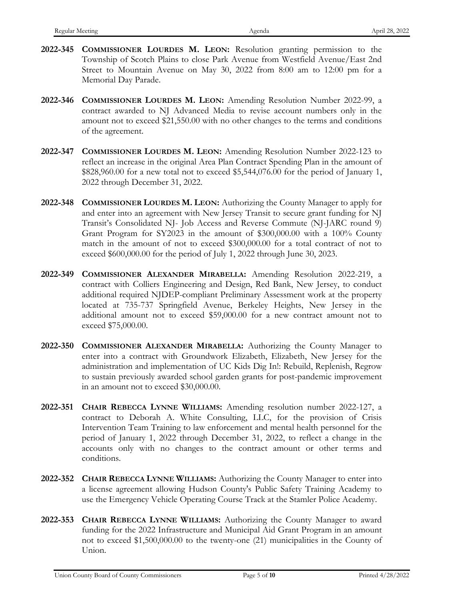- **2022-345 COMMISSIONER LOURDES M. LEON:** Resolution granting permission to the Township of Scotch Plains to close Park Avenue from Westfield Avenue/East 2nd Street to Mountain Avenue on May 30, 2022 from 8:00 am to 12:00 pm for a Memorial Day Parade.
- **2022-346 COMMISSIONER LOURDES M. LEON:** Amending Resolution Number 2022-99, a contract awarded to NJ Advanced Media to revise account numbers only in the amount not to exceed \$21,550.00 with no other changes to the terms and conditions of the agreement.
- **2022-347 COMMISSIONER LOURDES M. LEON:** Amending Resolution Number 2022-123 to reflect an increase in the original Area Plan Contract Spending Plan in the amount of \$828,960.00 for a new total not to exceed \$5,544,076.00 for the period of January 1, 2022 through December 31, 2022.
- **2022-348 COMMISSIONER LOURDES M. LEON:** Authorizing the County Manager to apply for and enter into an agreement with New Jersey Transit to secure grant funding for NJ Transit's Consolidated NJ- Job Access and Reverse Commute (NJ-JARC round 9) Grant Program for SY2023 in the amount of \$300,000.00 with a 100% County match in the amount of not to exceed \$300,000.00 for a total contract of not to exceed \$600,000.00 for the period of July 1, 2022 through June 30, 2023.
- **2022-349 COMMISSIONER ALEXANDER MIRABELLA:** Amending Resolution 2022-219, a contract with Colliers Engineering and Design, Red Bank, New Jersey, to conduct additional required NJDEP-compliant Preliminary Assessment work at the property located at 735-737 Springfield Avenue, Berkeley Heights, New Jersey in the additional amount not to exceed \$59,000.00 for a new contract amount not to exceed \$75,000.00.
- **2022-350 COMMISSIONER ALEXANDER MIRABELLA:** Authorizing the County Manager to enter into a contract with Groundwork Elizabeth, Elizabeth, New Jersey for the administration and implementation of UC Kids Dig In!: Rebuild, Replenish, Regrow to sustain previously awarded school garden grants for post-pandemic improvement in an amount not to exceed \$30,000.00.
- **2022-351 CHAIR REBECCA LYNNE WILLIAMS:** Amending resolution number 2022-127, a contract to Deborah A. White Consulting, LLC, for the provision of Crisis Intervention Team Training to law enforcement and mental health personnel for the period of January 1, 2022 through December 31, 2022, to reflect a change in the accounts only with no changes to the contract amount or other terms and conditions.
- **2022-352 CHAIR REBECCA LYNNE WILLIAMS:** Authorizing the County Manager to enter into a license agreement allowing Hudson County's Public Safety Training Academy to use the Emergency Vehicle Operating Course Track at the Stamler Police Academy.
- **2022-353 CHAIR REBECCA LYNNE WILLIAMS:** Authorizing the County Manager to award funding for the 2022 Infrastructure and Municipal Aid Grant Program in an amount not to exceed \$1,500,000.00 to the twenty-one (21) municipalities in the County of Union.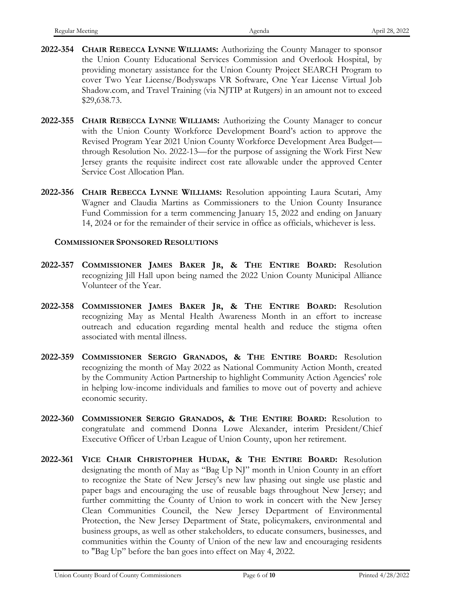- **2022-354 CHAIR REBECCA LYNNE WILLIAMS:** Authorizing the County Manager to sponsor the Union County Educational Services Commission and Overlook Hospital, by providing monetary assistance for the Union County Project SEARCH Program to cover Two Year License/Bodyswaps VR Software, One Year License Virtual Job Shadow.com, and Travel Training (via NJTIP at Rutgers) in an amount not to exceed \$29,638.73.
- **2022-355 CHAIR REBECCA LYNNE WILLIAMS:** Authorizing the County Manager to concur with the Union County Workforce Development Board's action to approve the Revised Program Year 2021 Union County Workforce Development Area Budget through Resolution No. 2022-13—for the purpose of assigning the Work First New Jersey grants the requisite indirect cost rate allowable under the approved Center Service Cost Allocation Plan.
- **2022-356 CHAIR REBECCA LYNNE WILLIAMS:** Resolution appointing Laura Scutari, Amy Wagner and Claudia Martins as Commissioners to the Union County Insurance Fund Commission for a term commencing January 15, 2022 and ending on January 14, 2024 or for the remainder of their service in office as officials, whichever is less.

# **COMMISSIONER SPONSORED RESOLUTIONS**

- **2022-357 COMMISSIONER JAMES BAKER JR, & THE ENTIRE BOARD:** Resolution recognizing Jill Hall upon being named the 2022 Union County Municipal Alliance Volunteer of the Year.
- **2022-358 COMMISSIONER JAMES BAKER JR, & THE ENTIRE BOARD:** Resolution recognizing May as Mental Health Awareness Month in an effort to increase outreach and education regarding mental health and reduce the stigma often associated with mental illness.
- **2022-359 COMMISSIONER SERGIO GRANADOS, & THE ENTIRE BOARD:** Resolution recognizing the month of May 2022 as National Community Action Month, created by the Community Action Partnership to highlight Community Action Agencies' role in helping low-income individuals and families to move out of poverty and achieve economic security.
- **2022-360 COMMISSIONER SERGIO GRANADOS, & THE ENTIRE BOARD:** Resolution to congratulate and commend Donna Lowe Alexander, interim President/Chief Executive Officer of Urban League of Union County, upon her retirement.
- **2022-361 VICE CHAIR CHRISTOPHER HUDAK, & THE ENTIRE BOARD:** Resolution designating the month of May as "Bag Up NJ" month in Union County in an effort to recognize the State of New Jersey's new law phasing out single use plastic and paper bags and encouraging the use of reusable bags throughout New Jersey; and further committing the County of Union to work in concert with the New Jersey Clean Communities Council, the New Jersey Department of Environmental Protection, the New Jersey Department of State, policymakers, environmental and business groups, as well as other stakeholders, to educate consumers, businesses, and communities within the County of Union of the new law and encouraging residents to "Bag Up" before the ban goes into effect on May 4, 2022.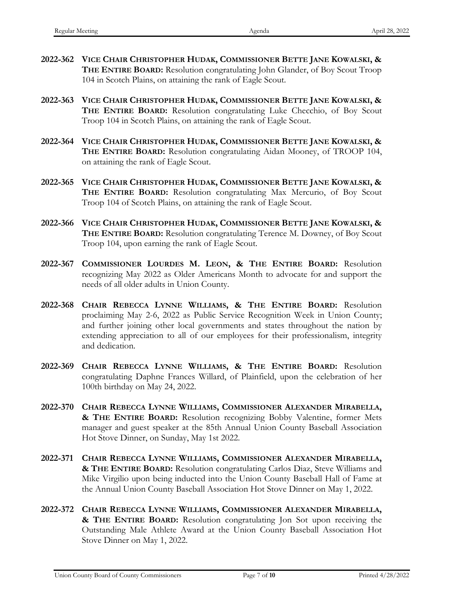- **2022-362 VICE CHAIR CHRISTOPHER HUDAK, COMMISSIONER BETTE JANE KOWALSKI, & THE ENTIRE BOARD:** Resolution congratulating John Glander, of Boy Scout Troop 104 in Scotch Plains, on attaining the rank of Eagle Scout.
- **2022-363 VICE CHAIR CHRISTOPHER HUDAK, COMMISSIONER BETTE JANE KOWALSKI, & THE ENTIRE BOARD:** Resolution congratulating Luke Checchio, of Boy Scout Troop 104 in Scotch Plains, on attaining the rank of Eagle Scout.
- **2022-364 VICE CHAIR CHRISTOPHER HUDAK, COMMISSIONER BETTE JANE KOWALSKI, & THE ENTIRE BOARD:** Resolution congratulating Aidan Mooney, of TROOP 104, on attaining the rank of Eagle Scout.
- **2022-365 VICE CHAIR CHRISTOPHER HUDAK, COMMISSIONER BETTE JANE KOWALSKI, & THE ENTIRE BOARD:** Resolution congratulating Max Mercurio, of Boy Scout Troop 104 of Scotch Plains, on attaining the rank of Eagle Scout.
- **2022-366 VICE CHAIR CHRISTOPHER HUDAK, COMMISSIONER BETTE JANE KOWALSKI, & THE ENTIRE BOARD:** Resolution congratulating Terence M. Downey, of Boy Scout Troop 104, upon earning the rank of Eagle Scout.
- **2022-367 COMMISSIONER LOURDES M. LEON, & THE ENTIRE BOARD:** Resolution recognizing May 2022 as Older Americans Month to advocate for and support the needs of all older adults in Union County.
- **2022-368 CHAIR REBECCA LYNNE WILLIAMS, & THE ENTIRE BOARD:** Resolution proclaiming May 2-6, 2022 as Public Service Recognition Week in Union County; and further joining other local governments and states throughout the nation by extending appreciation to all of our employees for their professionalism, integrity and dedication.
- **2022-369 CHAIR REBECCA LYNNE WILLIAMS, & THE ENTIRE BOARD:** Resolution congratulating Daphne Frances Willard, of Plainfield, upon the celebration of her 100th birthday on May 24, 2022.
- **2022-370 CHAIR REBECCA LYNNE WILLIAMS, COMMISSIONER ALEXANDER MIRABELLA, & THE ENTIRE BOARD:** Resolution recognizing Bobby Valentine, former Mets manager and guest speaker at the 85th Annual Union County Baseball Association Hot Stove Dinner, on Sunday, May 1st 2022.
- **2022-371 CHAIR REBECCA LYNNE WILLIAMS, COMMISSIONER ALEXANDER MIRABELLA, & THE ENTIRE BOARD:** Resolution congratulating Carlos Diaz, Steve Williams and Mike Virgilio upon being inducted into the Union County Baseball Hall of Fame at the Annual Union County Baseball Association Hot Stove Dinner on May 1, 2022.
- **2022-372 CHAIR REBECCA LYNNE WILLIAMS, COMMISSIONER ALEXANDER MIRABELLA, & THE ENTIRE BOARD:** Resolution congratulating Jon Sot upon receiving the Outstanding Male Athlete Award at the Union County Baseball Association Hot Stove Dinner on May 1, 2022.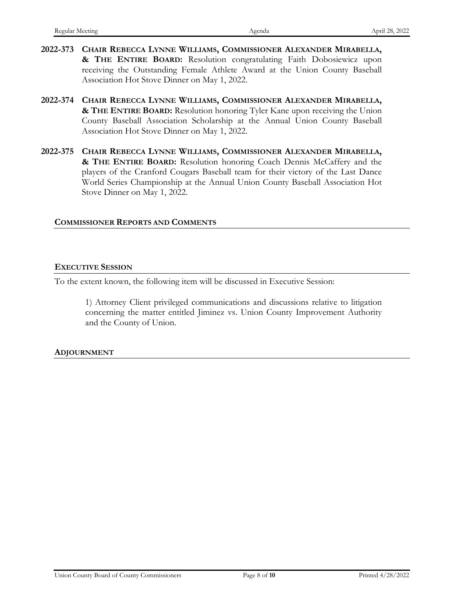- **2022-373 CHAIR REBECCA LYNNE WILLIAMS, COMMISSIONER ALEXANDER MIRABELLA, & THE ENTIRE BOARD:** Resolution congratulating Faith Dobosiewicz upon receiving the Outstanding Female Athlete Award at the Union County Baseball Association Hot Stove Dinner on May 1, 2022.
- **2022-374 CHAIR REBECCA LYNNE WILLIAMS, COMMISSIONER ALEXANDER MIRABELLA, & THE ENTIRE BOARD:** Resolution honoring Tyler Kane upon receiving the Union County Baseball Association Scholarship at the Annual Union County Baseball Association Hot Stove Dinner on May 1, 2022.
- **2022-375 CHAIR REBECCA LYNNE WILLIAMS, COMMISSIONER ALEXANDER MIRABELLA, & THE ENTIRE BOARD:** Resolution honoring Coach Dennis McCaffery and the players of the Cranford Cougars Baseball team for their victory of the Last Dance World Series Championship at the Annual Union County Baseball Association Hot Stove Dinner on May 1, 2022.

## **COMMISSIONER REPORTS AND COMMENTS**

#### **EXECUTIVE SESSION**

To the extent known, the following item will be discussed in Executive Session:

1) Attorney Client privileged communications and discussions relative to litigation concerning the matter entitled Jiminez vs. Union County Improvement Authority and the County of Union.

## **ADJOURNMENT**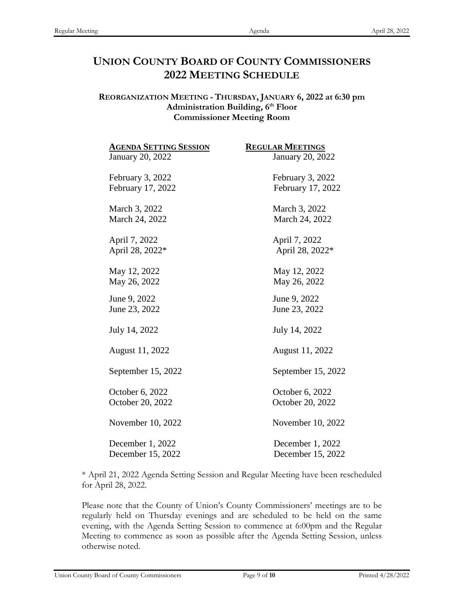# **UNION COUNTY BOARD OF COUNTY COMMISSIONERS 2022 MEETING SCHEDULE**

## **REORGANIZATION MEETING - THURSDAY, JANUARY 6, 2022 at 6:30 pm** Administration Building, 6<sup>th</sup> Floor **Commissioner Meeting Room**

| <b>AGENDA SETTING SESSION</b> | <b>REGULAR MEETINGS</b> |
|-------------------------------|-------------------------|
| <b>January 20, 2022</b>       | January 20, 2022        |
| February 3, 2022              | February 3, 2022        |
| February 17, 2022             | February 17, 2022       |
| March 3, 2022                 | March 3, 2022           |
| March 24, 2022                | March 24, 2022          |
| April 7, 2022                 | April 7, 2022           |
| April 28, 2022*               | April 28, 2022*         |
| May 12, 2022                  | May 12, 2022            |
| May 26, 2022                  | May 26, 2022            |
| June 9, 2022                  | June 9, 2022            |
| June 23, 2022                 | June 23, 2022           |
| July 14, 2022                 | July 14, 2022           |
| August 11, 2022               | August 11, 2022         |
| September 15, 2022            | September 15, 2022      |
| October 6, 2022               | October 6, 2022         |
| October 20, 2022              | October 20, 2022        |
| November 10, 2022             | November 10, 2022       |
| December 1, 2022              | December 1, 2022        |
| December 15, 2022             | December 15, 2022       |

\* April 21, 2022 Agenda Setting Session and Regular Meeting have been rescheduled for April 28, 2022.

Please note that the County of Union's County Commissioners' meetings are to be regularly held on Thursday evenings and are scheduled to be held on the same evening, with the Agenda Setting Session to commence at 6:00pm and the Regular Meeting to commence as soon as possible after the Agenda Setting Session, unless otherwise noted.